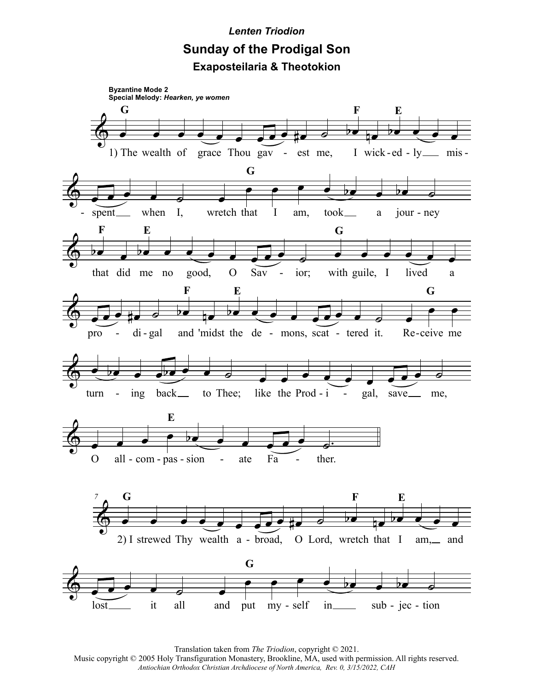## *Lenten Triodion* **Sunday of the Prodigal Son Exaposteilaria & Theotokion**



Translation taken from *The Triodion*, copyright © 2021. Music copyright © 2005 Holy Transfiguration Monastery, Brookline, MA, used with permission. All rights reserved. *Antiochian Orthodox Christian Archdiocese of North America, Rev. 0, 3/15/2022, CAH*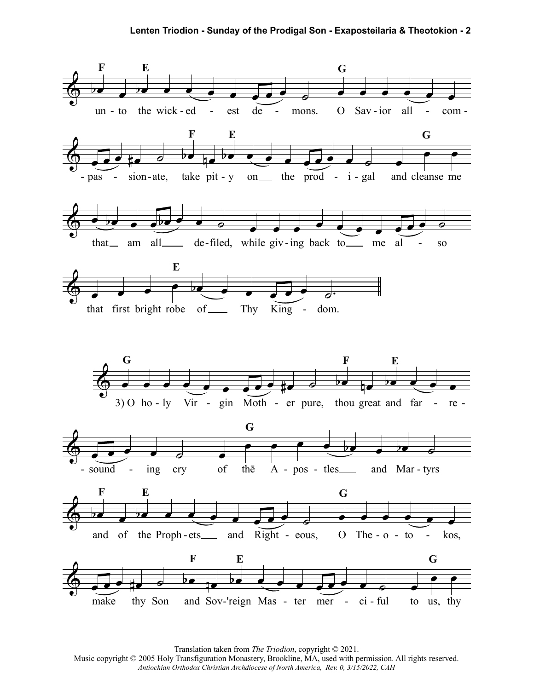

Translation taken from The Triodion, copyright © 2021.

Music copyright © 2005 Holy Transfiguration Monastery, Brookline, MA, used with permission. All rights reserved. Antiochian Orthodox Christian Archdiocese of North America, Rev. 0, 3/15/2022, CAH